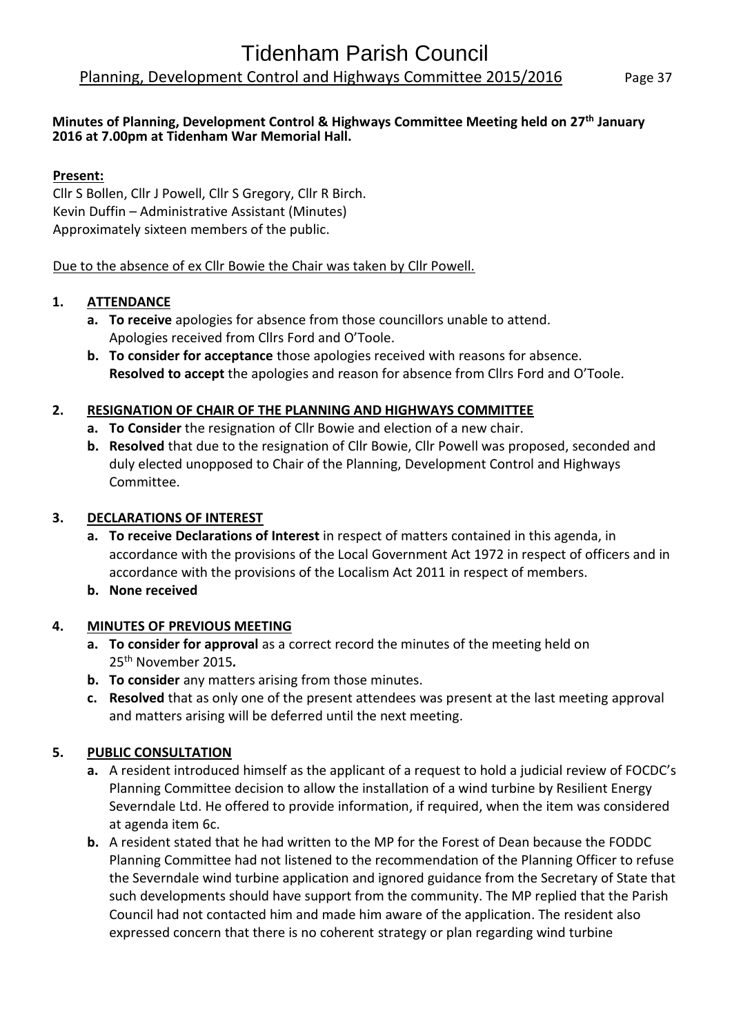#### **Minutes of Planning, Development Control & Highways Committee Meeting held on 27 th January 2016 at 7.00pm at Tidenham War Memorial Hall.**

#### **Present:**

Cllr S Bollen, Cllr J Powell, Cllr S Gregory, Cllr R Birch. Kevin Duffin – Administrative Assistant (Minutes) Approximately sixteen members of the public.

#### Due to the absence of ex Cllr Bowie the Chair was taken by Cllr Powell.

#### **1. ATTENDANCE**

- **a. To receive** apologies for absence from those councillors unable to attend. Apologies received from Cllrs Ford and O'Toole.
- **b. To consider for acceptance** those apologies received with reasons for absence. **Resolved to accept** the apologies and reason for absence from Cllrs Ford and O'Toole.

#### **2. RESIGNATION OF CHAIR OF THE PLANNING AND HIGHWAYS COMMITTEE**

- **a. To Consider** the resignation of Cllr Bowie and election of a new chair.
- **b. Resolved** that due to the resignation of Cllr Bowie, Cllr Powell was proposed, seconded and duly elected unopposed to Chair of the Planning, Development Control and Highways Committee.

#### **3. DECLARATIONS OF INTEREST**

- **a. To receive Declarations of Interest** in respect of matters contained in this agenda, in accordance with the provisions of the Local Government Act 1972 in respect of officers and in accordance with the provisions of the Localism Act 2011 in respect of members.
- **b. None received**

#### **4. MINUTES OF PREVIOUS MEETING**

- **a. To consider for approval** as a correct record the minutes of the meeting held on 25th November 2015*.*
- **b. To consider** any matters arising from those minutes.
- **c. Resolved** that as only one of the present attendees was present at the last meeting approval and matters arising will be deferred until the next meeting.

#### **5. PUBLIC CONSULTATION**

- **a.** A resident introduced himself as the applicant of a request to hold a judicial review of FOCDC's Planning Committee decision to allow the installation of a wind turbine by Resilient Energy Severndale Ltd. He offered to provide information, if required, when the item was considered at agenda item 6c.
- **b.** A resident stated that he had written to the MP for the Forest of Dean because the FODDC Planning Committee had not listened to the recommendation of the Planning Officer to refuse the Severndale wind turbine application and ignored guidance from the Secretary of State that such developments should have support from the community. The MP replied that the Parish Council had not contacted him and made him aware of the application. The resident also expressed concern that there is no coherent strategy or plan regarding wind turbine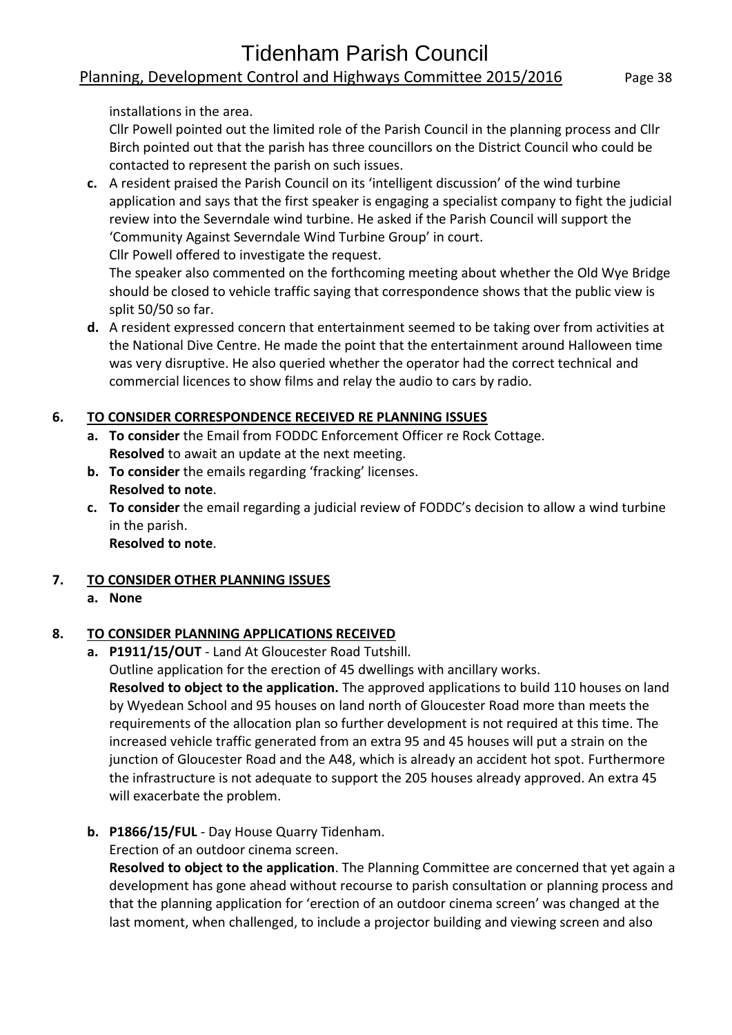# Tidenham Parish Council Planning, Development Control and Highways Committee 2015/2016 Page 38

installations in the area.

Cllr Powell pointed out the limited role of the Parish Council in the planning process and Cllr Birch pointed out that the parish has three councillors on the District Council who could be contacted to represent the parish on such issues.

**c.** A resident praised the Parish Council on its 'intelligent discussion' of the wind turbine application and says that the first speaker is engaging a specialist company to fight the judicial review into the Severndale wind turbine. He asked if the Parish Council will support the 'Community Against Severndale Wind Turbine Group' in court.

Cllr Powell offered to investigate the request.

The speaker also commented on the forthcoming meeting about whether the Old Wye Bridge should be closed to vehicle traffic saying that correspondence shows that the public view is split 50/50 so far.

**d.** A resident expressed concern that entertainment seemed to be taking over from activities at the National Dive Centre. He made the point that the entertainment around Halloween time was very disruptive. He also queried whether the operator had the correct technical and commercial licences to show films and relay the audio to cars by radio.

## **6. TO CONSIDER CORRESPONDENCE RECEIVED RE PLANNING ISSUES**

- **a. To consider** the Email from FODDC Enforcement Officer re Rock Cottage. **Resolved** to await an update at the next meeting.
- **b. To consider** the emails regarding 'fracking' licenses. **Resolved to note**.
- **c. To consider** the email regarding a judicial review of FODDC's decision to allow a wind turbine in the parish.

**Resolved to note**.

# **7. TO CONSIDER OTHER PLANNING ISSUES**

**a. None**

# **8. TO CONSIDER PLANNING APPLICATIONS RECEIVED**

**a. P1911/15/OUT** - Land At Gloucester Road Tutshill.

[Outline application for the erection of 45 dwellings with ancillary works.](http://publicaccess.fdean.gov.uk/online-applications/applicationDetails.do?activeTab=summary&keyVal=NZRNQBHI01000&prevPage=inTray) 

**Resolved to object to the application.** The approved applications to build 110 houses on land by Wyedean School and 95 houses on land north of Gloucester Road more than meets the requirements of the allocation plan so further development is not required at this time. The increased vehicle traffic generated from an extra 95 and 45 houses will put a strain on the junction of Gloucester Road and the A48, which is already an accident hot spot. Furthermore the infrastructure is not adequate to support the 205 houses already approved. An extra 45 will exacerbate the problem.

**b. P1866/15/FUL** - Day House Quarry Tidenham.

[Erection of an outdoor cinema screen.](http://publicaccess.fdean.gov.uk/online-applications/applicationDetails.do?activeTab=summary&keyVal=NZ3ML2HIJ9C00&prevPage=inTray) 

**Resolved to object to the application**. The Planning Committee are concerned that yet again a development has gone ahead without recourse to parish consultation or planning process and that the planning application for 'erection of an outdoor cinema screen' was changed at the last moment, when challenged, to include a projector building and viewing screen and also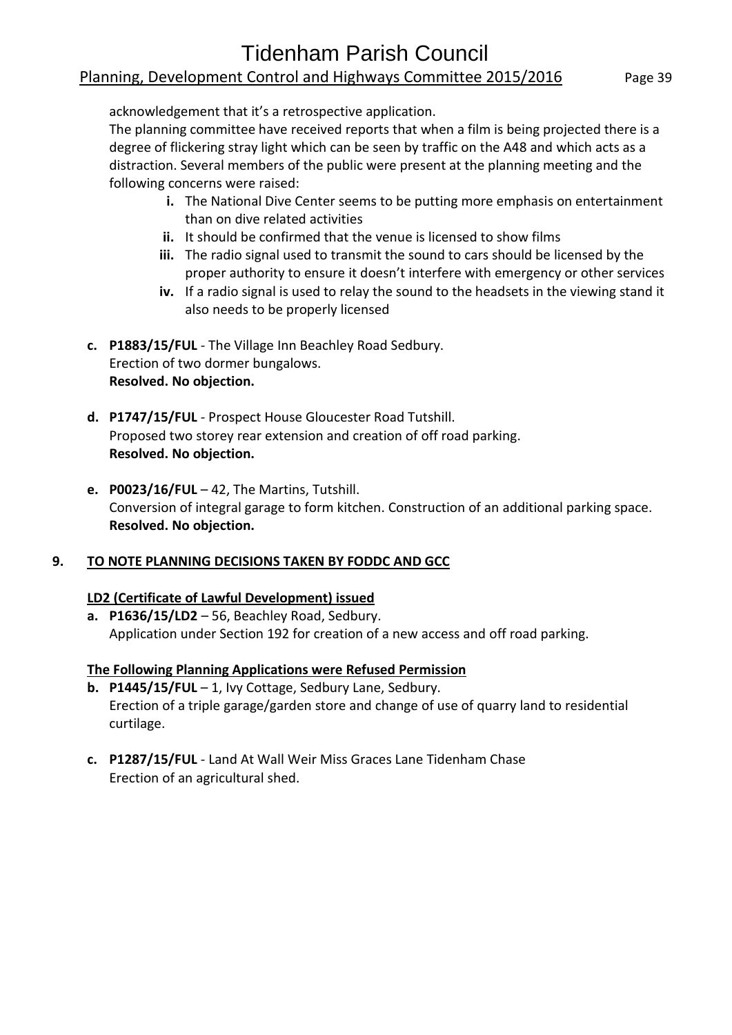acknowledgement that it's a retrospective application.

The planning committee have received reports that when a film is being projected there is a degree of flickering stray light which can be seen by traffic on the A48 and which acts as a distraction. Several members of the public were present at the planning meeting and the following concerns were raised:

- **i.** The National Dive Center seems to be putting more emphasis on entertainment than on dive related activities
- **ii.** It should be confirmed that the venue is licensed to show films
- **iii.** The radio signal used to transmit the sound to cars should be licensed by the proper authority to ensure it doesn't interfere with emergency or other services
- **iv.** If a radio signal is used to relay the sound to the headsets in the viewing stand it also needs to be properly licensed
- **c. P1883/15/FUL** The Village Inn Beachley Road Sedbury. [Erection of two dormer bungalows.](http://publicaccess.fdean.gov.uk/online-applications/applicationDetails.do?activeTab=summary&keyVal=NZC9MVHIJA500&prevPage=inTray)  **Resolved. No objection.**
- **d. P1747/15/FUL** Prospect House Gloucester Road Tutshill. [Proposed two storey rear extension and creation of off road parking.](http://publicaccess.fdean.gov.uk/online-applications/applicationDetails.do?activeTab=summary&keyVal=NY2L84HIJ4M00)  **Resolved. No objection.**
- **e. P0023/16/FUL**  42, The Martins, Tutshill. Conversion of integral garage to form kitchen. Construction of an additional parking space. **Resolved. No objection.**

#### **9. TO NOTE PLANNING DECISIONS TAKEN BY FODDC AND GCC**

#### **LD2 (Certificate of Lawful Development) issued**

**a. P1636/15/LD2** – 56, Beachley Road, Sedbury. Application under Section 192 for creation of a new access and off road parking.

#### **The Following Planning Applications were Refused Permission**

- **b. P1445/15/FUL** 1, Ivy Cottage, Sedbury Lane, Sedbury. Erection of a triple garage/garden store and change of use of quarry land to residential curtilage.
- **c. P1287/15/FUL** Land At Wall Weir Miss Graces Lane Tidenham Chase [Erection of an agricultural shed.](http://publicaccess.fdean.gov.uk/online-applications/applicationDetails.do?activeTab=summary&keyVal=NTOSQOHI0AF00)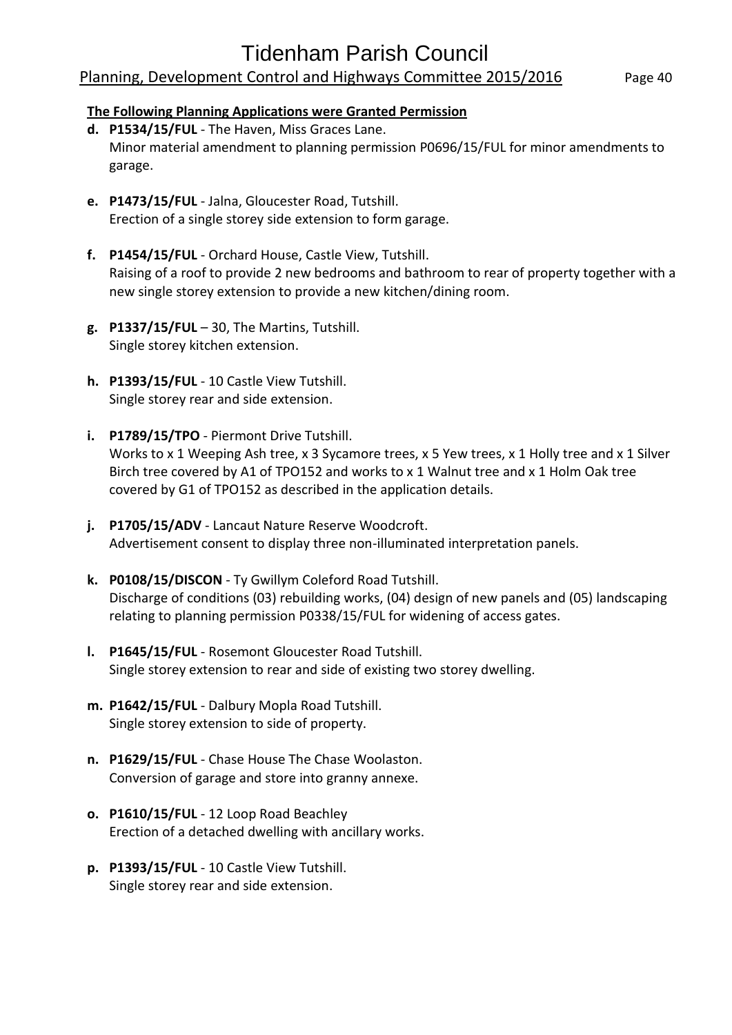# Tidenham Parish Council

#### Planning, Development Control and Highways Committee 2015/2016 Page 40

#### **The Following Planning Applications were Granted Permission**

- **d. P1534/15/FUL** The Haven, Miss Graces Lane. Minor material amendment to planning permission P0696/15/FUL for minor amendments to garage.
- **e. P1473/15/FUL** Jalna, Gloucester Road, Tutshill. Erection of a single storey side extension to form garage.
- **f. P1454/15/FUL** Orchard House, Castle View, Tutshill. Raising of a roof to provide 2 new bedrooms and bathroom to rear of property together with a new single storey extension to provide a new kitchen/dining room.
- **g. P1337/15/FUL** 30, The Martins, Tutshill. Single storey kitchen extension.
- **h. P1393/15/FUL** 10 Castle View Tutshill. [Single storey rear and side extension.](http://publicaccess.fdean.gov.uk/online-applications/applicationDetails.do?activeTab=summary&keyVal=NURON0HIIR500)
- **i. P1789/15/TPO** Piermont Drive Tutshill. [Works to x 1 Weeping Ash tree, x 3 Sycamore trees, x 5 Yew trees, x 1 Holly tree and x 1 Silver](http://publicaccess.fdean.gov.uk/online-applications/applicationDetails.do?activeTab=summary&keyVal=NYDOR1HI01000)  [Birch tree covered by A1 of TPO152 and works to x 1 Walnut tree and x 1 Holm Oak tree](http://publicaccess.fdean.gov.uk/online-applications/applicationDetails.do?activeTab=summary&keyVal=NYDOR1HI01000)  [covered by G1 of TPO152 as described in the application details.](http://publicaccess.fdean.gov.uk/online-applications/applicationDetails.do?activeTab=summary&keyVal=NYDOR1HI01000)
- **j. P1705/15/ADV** Lancaut Nature Reserve Woodcroft. [Advertisement consent to display three non-illuminated interpretation panels.](http://publicaccess.fdean.gov.uk/online-applications/applicationDetails.do?activeTab=summary&keyVal=NXPH6RHI0AF00)
- **k. P0108/15/DISCON** Ty Gwillym Coleford Road Tutshill. [Discharge of conditions \(03\) rebuilding works, \(04\) design of new panels and \(05\) landscaping](http://publicaccess.fdean.gov.uk/online-applications/applicationDetails.do?activeTab=summary&keyVal=NXK20HHI0AF00)  [relating to planning permission P0338/15/FUL for widening of access gates.](http://publicaccess.fdean.gov.uk/online-applications/applicationDetails.do?activeTab=summary&keyVal=NXK20HHI0AF00)
- **l. P1645/15/FUL** Rosemont Gloucester Road Tutshill. [Single storey extension to rear and side of existing two storey dwelling.](http://publicaccess.fdean.gov.uk/online-applications/applicationDetails.do?activeTab=summary&keyVal=NX6YBKHIJ0800)
- **m. P1642/15/FUL** Dalbury Mopla Road Tutshill. [Single storey extension to side of property.](http://publicaccess.fdean.gov.uk/online-applications/applicationDetails.do?activeTab=summary&keyVal=NX6N9VHIJ0400)
- **n. P1629/15/FUL** Chase House The Chase Woolaston. [Conversion of garage and store into granny annexe.](http://publicaccess.fdean.gov.uk/online-applications/applicationDetails.do?activeTab=summary&keyVal=NWZMW1HI0AF00)
- **o. P1610/15/FUL** 12 Loop Road Beachley [Erection of a detached dwelling with ancillary works.](http://publicaccess.fdean.gov.uk/online-applications/applicationDetails.do?activeTab=summary&keyVal=NWTZIBHI0AF00)
- **p. P1393/15/FUL** 10 Castle View Tutshill. [Single storey rear and side extension.](http://publicaccess.fdean.gov.uk/online-applications/applicationDetails.do?activeTab=summary&keyVal=NURON0HIIR500)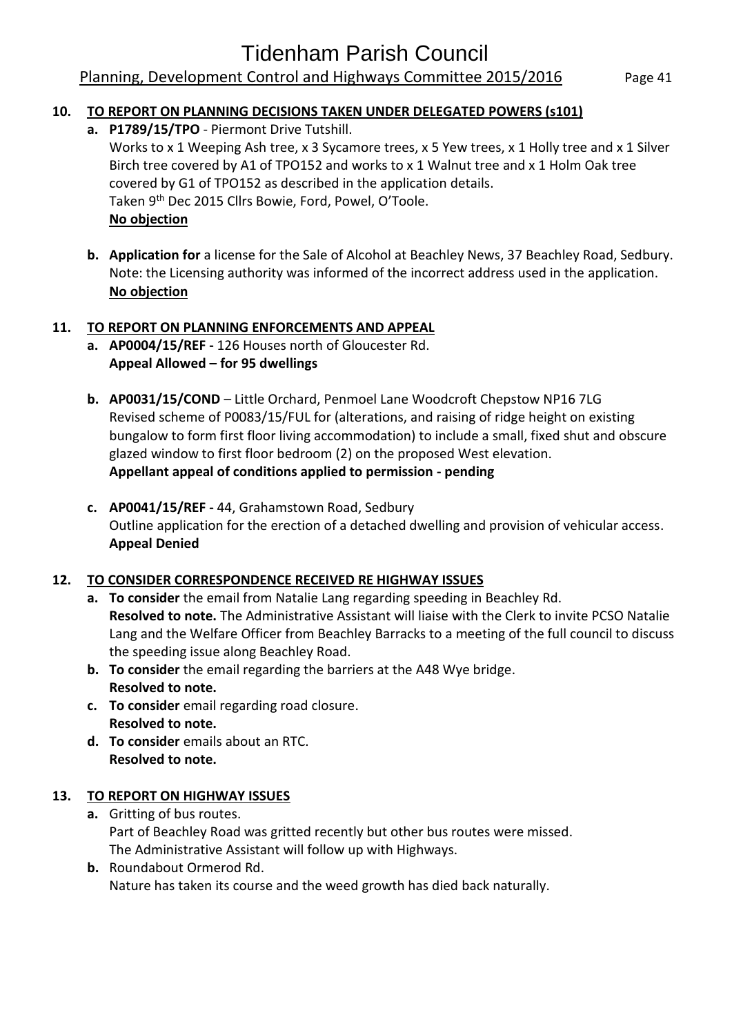## Planning, Development Control and Highways Committee 2015/2016 Page 41

#### **10. TO REPORT ON PLANNING DECISIONS TAKEN UNDER DELEGATED POWERS (s101)**

**a. P1789/15/TPO** - Piermont Drive Tutshill.

Works to x 1 Weeping Ash tree, x 3 Sycamore trees, x 5 Yew trees, x 1 Holly tree and x 1 Silver Birch tree covered by A1 of TPO152 and works to x 1 Walnut tree and x 1 Holm Oak tree covered by G1 of TPO152 as described in the application details. Taken 9<sup>th</sup> Dec 2015 Cllrs Bowie, Ford, Powel, O'Toole. **No objection**

**b. Application for** a license for the Sale of Alcohol at Beachley News, 37 Beachley Road, Sedbury. Note: the Licensing authority was informed of the incorrect address used in the application. **No objection**

#### **11. TO REPORT ON PLANNING ENFORCEMENTS AND APPEAL**

- **a. AP0004/15/REF -** 126 Houses north of Gloucester Rd. **Appeal Allowed – for 95 dwellings**
- **b. AP0031/15/COND**  Little Orchard, Penmoel Lane Woodcroft Chepstow NP16 7LG Revised scheme of P0083/15/FUL for (alterations, and raising of ridge height on existing bungalow to form first floor living accommodation) to include a small, fixed shut and obscure glazed window to first floor bedroom (2) on the proposed West elevation. **Appellant appeal of conditions applied to permission - pending**
- **c. AP0041/15/REF -** 44, Grahamstown Road, Sedbury [Outline application for the erection of a detached dwelling and provision of vehicular access.](http://publicaccess.fdean.gov.uk/online-applications/appealDetails.do?previousCaseType=Property&previousKeyVal=0000EKHILI000&activeTab=summary&previousCaseUprn=100120435629&previousCaseNumber=0000DQHIBU000&keyVal=NXLG9HHI09300) **Appeal Denied**

#### **12. TO CONSIDER CORRESPONDENCE RECEIVED RE HIGHWAY ISSUES**

- **a. To consider** the email from Natalie Lang regarding speeding in Beachley Rd. **Resolved to note.** The Administrative Assistant will liaise with the Clerk to invite PCSO Natalie Lang and the Welfare Officer from Beachley Barracks to a meeting of the full council to discuss the speeding issue along Beachley Road.
- **b. To consider** the email regarding the barriers at the A48 Wye bridge. **Resolved to note.**
- **c. To consider** email regarding road closure. **Resolved to note.**
- **d. To consider** emails about an RTC. **Resolved to note.**

#### **13. TO REPORT ON HIGHWAY ISSUES**

- **a.** Gritting of bus routes. Part of Beachley Road was gritted recently but other bus routes were missed. The Administrative Assistant will follow up with Highways.
- **b.** Roundabout Ormerod Rd. Nature has taken its course and the weed growth has died back naturally.